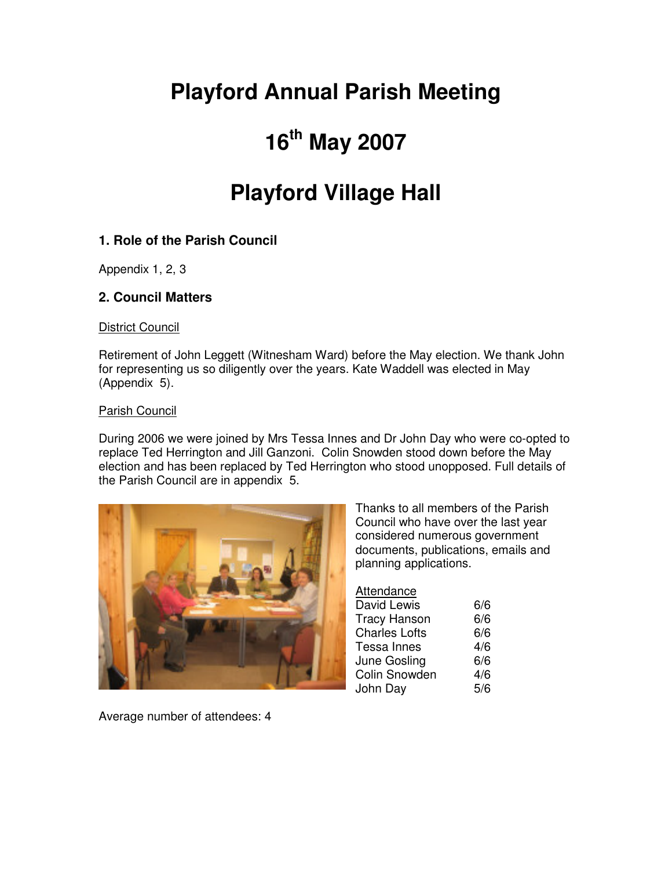# **Playford Annual Parish Meeting**

# **16th May 2007**

# **Playford Village Hall**

## **1. Role of the Parish Council**

Appendix 1, 2, 3

### **2. Council Matters**

District Council

Retirement of John Leggett (Witnesham Ward) before the May election. We thank John for representing us so diligently over the years. Kate Waddell was elected in May (Appendix 5).

#### Parish Council

During 2006 we were joined by Mrs Tessa Innes and Dr John Day who were co-opted to replace Ted Herrington and Jill Ganzoni. Colin Snowden stood down before the May election and has been replaced by Ted Herrington who stood unopposed. Full details of the Parish Council are in appendix 5.



Thanks to all members of the Parish Council who have over the last year considered numerous government documents, publications, emails and planning applications.

#### Attendance

| David Lewis          | 6/6 |
|----------------------|-----|
| Tracy Hanson         | 6/6 |
| <b>Charles Lofts</b> | 6/6 |
| Tessa Innes          | 4/6 |
| June Gosling         | 6/6 |
| Colin Snowden        | 4/6 |
| John Day             | 5/6 |
|                      |     |

Average number of attendees: 4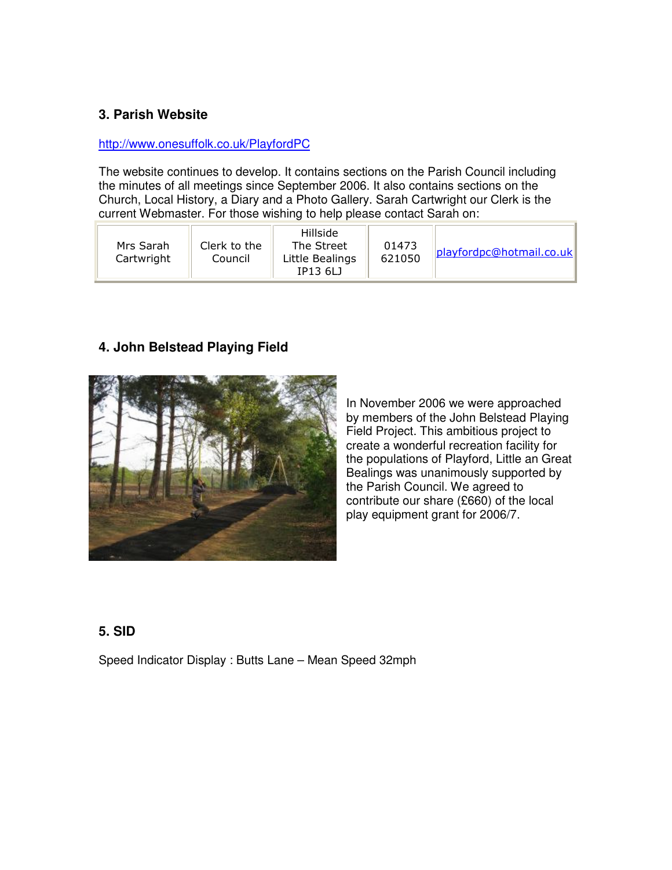### **3. Parish Website**

#### http://www.onesuffolk.co.uk/PlayfordPC

The website continues to develop. It contains sections on the Parish Council including the minutes of all meetings since September 2006. It also contains sections on the Church, Local History, a Diary and a Photo Gallery. Sarah Cartwright our Clerk is the current Webmaster. For those wishing to help please contact Sarah on:

| Mrs Sarah<br>Cartwright | Hillside<br>The Street<br>Clerk to the<br>Council<br>Little Bealings<br>IP13 6LJ | 01473<br>621050 | playfordpc@hotmail.co.uk |
|-------------------------|----------------------------------------------------------------------------------|-----------------|--------------------------|
|-------------------------|----------------------------------------------------------------------------------|-----------------|--------------------------|

### **4. John Belstead Playing Field**



In November 2006 we were approached by members of the John Belstead Playing Field Project. This ambitious project to create a wonderful recreation facility for the populations of Playford, Little an Great Bealings was unanimously supported by the Parish Council. We agreed to contribute our share (£660) of the local play equipment grant for 2006/7.

#### **5. SID**

Speed Indicator Display : Butts Lane – Mean Speed 32mph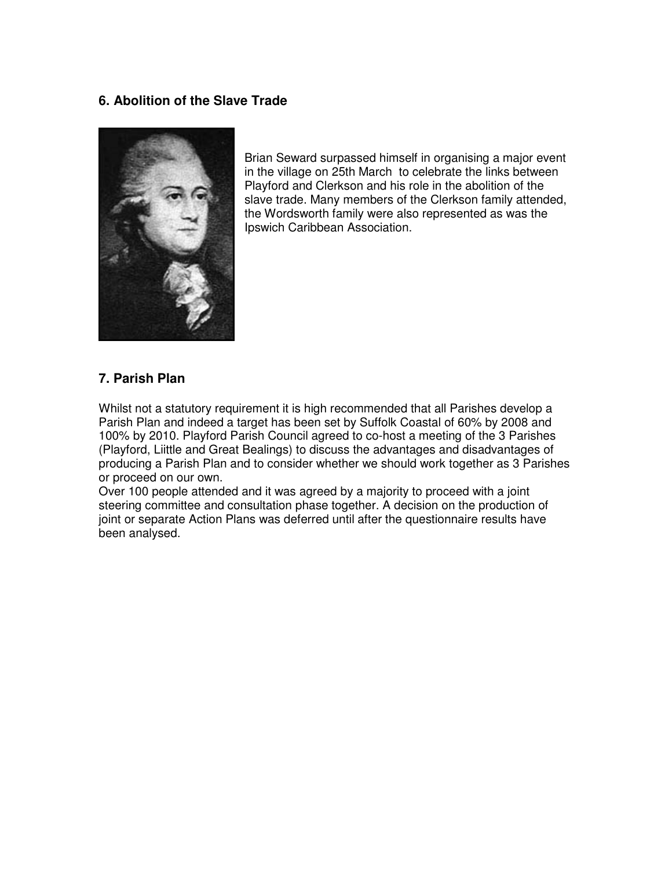#### **6. Abolition of the Slave Trade**



Brian Seward surpassed himself in organising a major event in the village on 25th March to celebrate the links between Playford and Clerkson and his role in the abolition of the slave trade. Many members of the Clerkson family attended, the Wordsworth family were also represented as was the Ipswich Caribbean Association.

#### **7. Parish Plan**

Whilst not a statutory requirement it is high recommended that all Parishes develop a Parish Plan and indeed a target has been set by Suffolk Coastal of 60% by 2008 and 100% by 2010. Playford Parish Council agreed to co-host a meeting of the 3 Parishes (Playford, Liittle and Great Bealings) to discuss the advantages and disadvantages of producing a Parish Plan and to consider whether we should work together as 3 Parishes or proceed on our own.

Over 100 people attended and it was agreed by a majority to proceed with a joint steering committee and consultation phase together. A decision on the production of joint or separate Action Plans was deferred until after the questionnaire results have been analysed.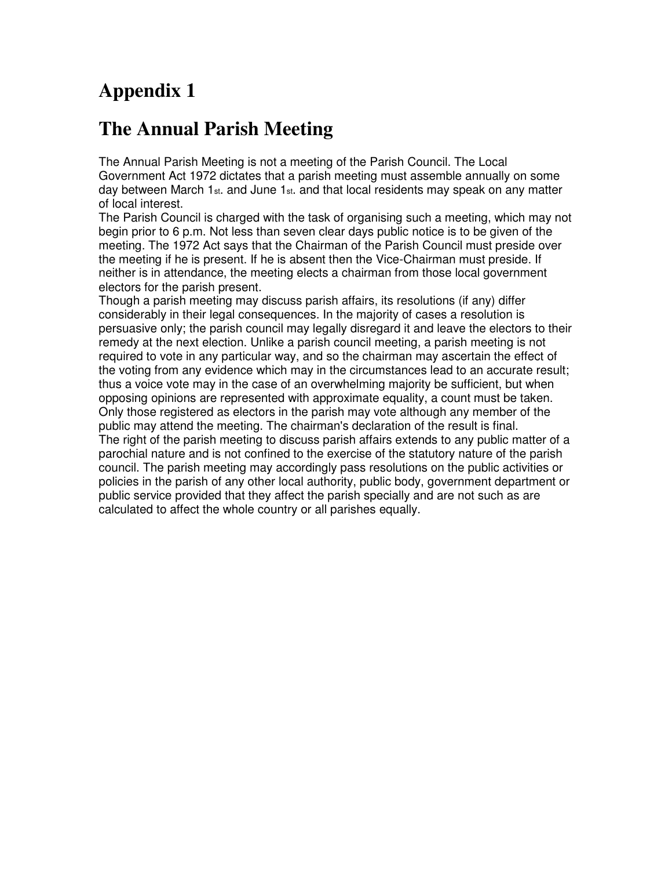## **The Annual Parish Meeting**

The Annual Parish Meeting is not a meeting of the Parish Council. The Local Government Act 1972 dictates that a parish meeting must assemble annually on some day between March 1 $_{\rm st.}$  and June 1 $_{\rm st.}$  and that local residents may speak on any matter of local interest.

The Parish Council is charged with the task of organising such a meeting, which may not begin prior to 6 p.m. Not less than seven clear days public notice is to be given of the meeting. The 1972 Act says that the Chairman of the Parish Council must preside over the meeting if he is present. If he is absent then the Vice-Chairman must preside. If neither is in attendance, the meeting elects a chairman from those local government electors for the parish present.

Though a parish meeting may discuss parish affairs, its resolutions (if any) differ considerably in their legal consequences. In the majority of cases a resolution is persuasive only; the parish council may legally disregard it and leave the electors to their remedy at the next election. Unlike a parish council meeting, a parish meeting is not required to vote in any particular way, and so the chairman may ascertain the effect of the voting from any evidence which may in the circumstances lead to an accurate result; thus a voice vote may in the case of an overwhelming majority be sufficient, but when opposing opinions are represented with approximate equality, a count must be taken. Only those registered as electors in the parish may vote although any member of the public may attend the meeting. The chairman's declaration of the result is final. The right of the parish meeting to discuss parish affairs extends to any public matter of a parochial nature and is not confined to the exercise of the statutory nature of the parish council. The parish meeting may accordingly pass resolutions on the public activities or policies in the parish of any other local authority, public body, government department or public service provided that they affect the parish specially and are not such as are calculated to affect the whole country or all parishes equally.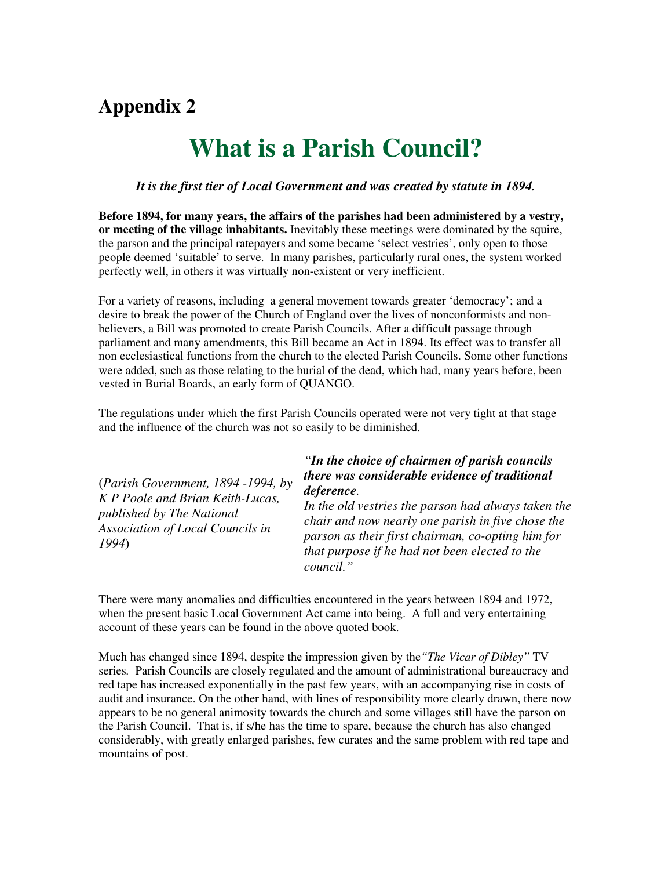# **What is a Parish Council?**

#### *It is the first tier of Local Government and was created by statute in 1894.*

**Before 1894, for many years, the affairs of the parishes had been administered by a vestry, or meeting of the village inhabitants.** Inevitably these meetings were dominated by the squire, the parson and the principal ratepayers and some became 'select vestries', only open to those people deemed 'suitable' to serve. In many parishes, particularly rural ones, the system worked perfectly well, in others it was virtually non-existent or very inefficient.

For a variety of reasons, including a general movement towards greater 'democracy'; and a desire to break the power of the Church of England over the lives of nonconformists and nonbelievers, a Bill was promoted to create Parish Councils. After a difficult passage through parliament and many amendments, this Bill became an Act in 1894. Its effect was to transfer all non ecclesiastical functions from the church to the elected Parish Councils. Some other functions were added, such as those relating to the burial of the dead, which had, many years before, been vested in Burial Boards, an early form of QUANGO.

The regulations under which the first Parish Councils operated were not very tight at that stage and the influence of the church was not so easily to be diminished.

| (Parish Government, 1894 -1994, by<br>K P Poole and Brian Keith-Lucas,<br>published by The National<br><b>Association of Local Councils in</b><br>1994) | "In the choice of chairmen of parish councils"<br>there was considerable evidence of traditional<br>deference.<br>In the old vestries the parson had always taken the<br>chair and now nearly one parish in five chose the<br>parson as their first chairman, co-opting him for<br>that purpose if he had not been elected to the |
|---------------------------------------------------------------------------------------------------------------------------------------------------------|-----------------------------------------------------------------------------------------------------------------------------------------------------------------------------------------------------------------------------------------------------------------------------------------------------------------------------------|
|                                                                                                                                                         | council."                                                                                                                                                                                                                                                                                                                         |

There were many anomalies and difficulties encountered in the years between 1894 and 1972, when the present basic Local Government Act came into being. A full and very entertaining account of these years can be found in the above quoted book.

Much has changed since 1894, despite the impression given by the*"The Vicar of Dibley"* TV series*.* Parish Councils are closely regulated and the amount of administrational bureaucracy and red tape has increased exponentially in the past few years, with an accompanying rise in costs of audit and insurance. On the other hand, with lines of responsibility more clearly drawn, there now appears to be no general animosity towards the church and some villages still have the parson on the Parish Council. That is, if s/he has the time to spare, because the church has also changed considerably, with greatly enlarged parishes, few curates and the same problem with red tape and mountains of post.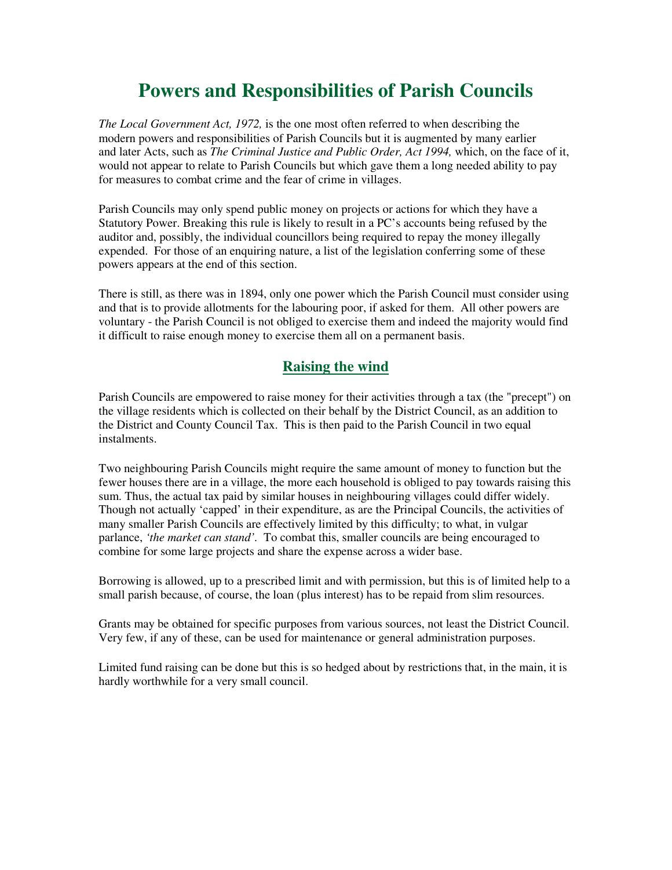## **Powers and Responsibilities of Parish Councils**

*The Local Government Act, 1972,* is the one most often referred to when describing the modern powers and responsibilities of Parish Councils but it is augmented by many earlier and later Acts, such as *The Criminal Justice and Public Order, Act 1994,* which, on the face of it, would not appear to relate to Parish Councils but which gave them a long needed ability to pay for measures to combat crime and the fear of crime in villages.

Parish Councils may only spend public money on projects or actions for which they have a Statutory Power. Breaking this rule is likely to result in a PC's accounts being refused by the auditor and, possibly, the individual councillors being required to repay the money illegally expended. For those of an enquiring nature, a list of the legislation conferring some of these powers appears at the end of this section.

There is still, as there was in 1894, only one power which the Parish Council must consider using and that is to provide allotments for the labouring poor, if asked for them. All other powers are voluntary - the Parish Council is not obliged to exercise them and indeed the majority would find it difficult to raise enough money to exercise them all on a permanent basis.

## **Raising the wind**

Parish Councils are empowered to raise money for their activities through a tax (the "precept") on the village residents which is collected on their behalf by the District Council, as an addition to the District and County Council Tax. This is then paid to the Parish Council in two equal instalments.

Two neighbouring Parish Councils might require the same amount of money to function but the fewer houses there are in a village, the more each household is obliged to pay towards raising this sum. Thus, the actual tax paid by similar houses in neighbouring villages could differ widely. Though not actually 'capped' in their expenditure, as are the Principal Councils, the activities of many smaller Parish Councils are effectively limited by this difficulty; to what, in vulgar parlance, *'the market can stand'.* To combat this, smaller councils are being encouraged to combine for some large projects and share the expense across a wider base.

Borrowing is allowed, up to a prescribed limit and with permission, but this is of limited help to a small parish because, of course, the loan (plus interest) has to be repaid from slim resources.

Grants may be obtained for specific purposes from various sources, not least the District Council. Very few, if any of these, can be used for maintenance or general administration purposes.

Limited fund raising can be done but this is so hedged about by restrictions that, in the main, it is hardly worthwhile for a very small council.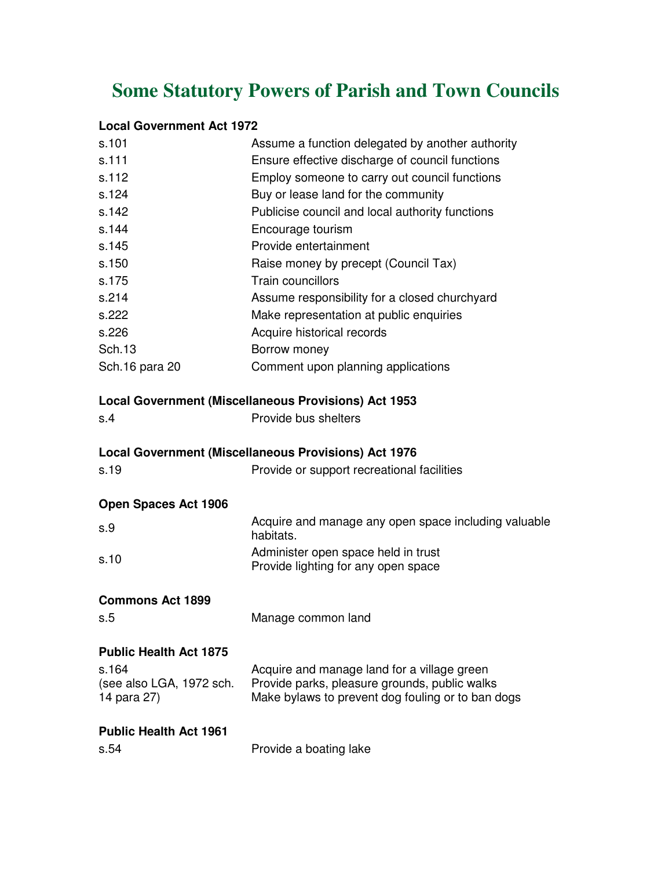# **Some Statutory Powers of Parish and Town Councils**

#### **Local Government Act 1972**

| s.101                                            | Assume a function delegated by another authority                                                                                                  |
|--------------------------------------------------|---------------------------------------------------------------------------------------------------------------------------------------------------|
| s.111                                            | Ensure effective discharge of council functions                                                                                                   |
| s.112                                            | Employ someone to carry out council functions                                                                                                     |
| s.124                                            | Buy or lease land for the community                                                                                                               |
| s.142                                            | Publicise council and local authority functions                                                                                                   |
| s.144                                            | Encourage tourism                                                                                                                                 |
| s.145                                            | Provide entertainment                                                                                                                             |
| s.150                                            | Raise money by precept (Council Tax)                                                                                                              |
| s.175                                            | <b>Train councillors</b>                                                                                                                          |
| s.214                                            | Assume responsibility for a closed churchyard                                                                                                     |
| s.222                                            | Make representation at public enquiries                                                                                                           |
| s.226                                            | Acquire historical records                                                                                                                        |
| <b>Sch.13</b>                                    | Borrow money                                                                                                                                      |
| Sch.16 para 20                                   | Comment upon planning applications                                                                                                                |
|                                                  | <b>Local Government (Miscellaneous Provisions) Act 1953</b>                                                                                       |
| s.4                                              | Provide bus shelters                                                                                                                              |
|                                                  | <b>Local Government (Miscellaneous Provisions) Act 1976</b>                                                                                       |
| s.19                                             | Provide or support recreational facilities                                                                                                        |
| <b>Open Spaces Act 1906</b>                      |                                                                                                                                                   |
| s.9                                              | Acquire and manage any open space including valuable<br>habitats.                                                                                 |
| s.10                                             | Administer open space held in trust<br>Provide lighting for any open space                                                                        |
| <b>Commons Act 1899</b>                          |                                                                                                                                                   |
| s.5                                              | Manage common land                                                                                                                                |
| <b>Public Health Act 1875</b>                    |                                                                                                                                                   |
| s.164<br>(see also LGA, 1972 sch.<br>14 para 27) | Acquire and manage land for a village green<br>Provide parks, pleasure grounds, public walks<br>Make bylaws to prevent dog fouling or to ban dogs |
| <b>Public Health Act 1961</b>                    |                                                                                                                                                   |
| s.54                                             | Provide a boating lake                                                                                                                            |
|                                                  |                                                                                                                                                   |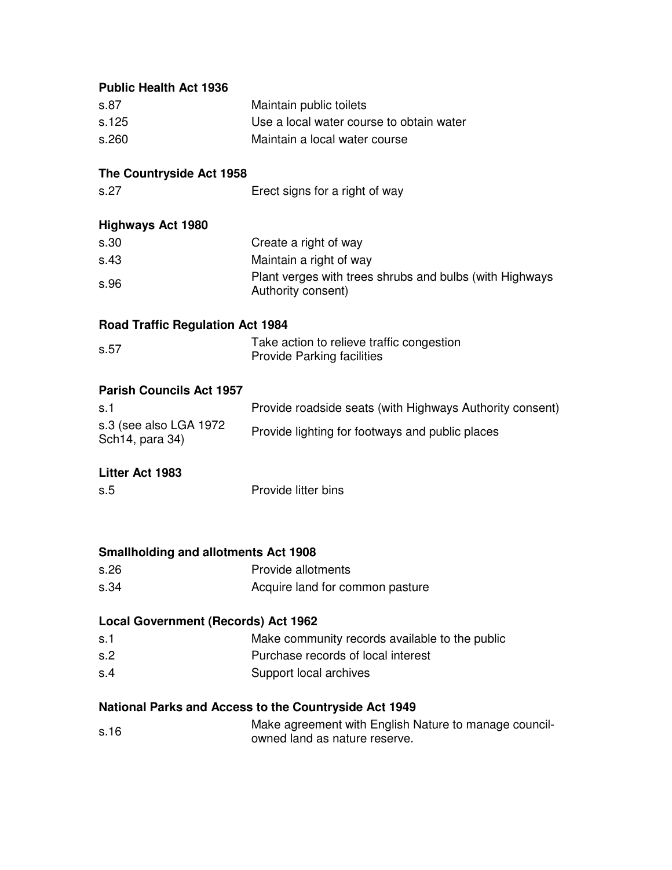| <b>Public Health Act 1936</b>                         |                                                                                        |  |
|-------------------------------------------------------|----------------------------------------------------------------------------------------|--|
| s.87                                                  | Maintain public toilets                                                                |  |
| s.125                                                 | Use a local water course to obtain water                                               |  |
| s.260                                                 | Maintain a local water course                                                          |  |
| The Countryside Act 1958                              |                                                                                        |  |
| s.27                                                  | Erect signs for a right of way                                                         |  |
| <b>Highways Act 1980</b>                              |                                                                                        |  |
| s.30                                                  | Create a right of way                                                                  |  |
| s.43                                                  | Maintain a right of way                                                                |  |
| s.96                                                  | Plant verges with trees shrubs and bulbs (with Highways<br>Authority consent)          |  |
| <b>Road Traffic Regulation Act 1984</b>               |                                                                                        |  |
| s.57                                                  | Take action to relieve traffic congestion<br><b>Provide Parking facilities</b>         |  |
| <b>Parish Councils Act 1957</b>                       |                                                                                        |  |
| s.1                                                   | Provide roadside seats (with Highways Authority consent)                               |  |
| s.3 (see also LGA 1972<br>Sch14, para 34)             | Provide lighting for footways and public places                                        |  |
| Litter Act 1983                                       |                                                                                        |  |
| s.5                                                   | Provide litter bins                                                                    |  |
|                                                       |                                                                                        |  |
| <b>Smallholding and allotments Act 1908</b>           |                                                                                        |  |
| s.26                                                  | Provide allotments                                                                     |  |
| s.34                                                  | Acquire land for common pasture                                                        |  |
| Local Government (Records) Act 1962                   |                                                                                        |  |
| s.1                                                   | Make community records available to the public                                         |  |
| s.2                                                   | Purchase records of local interest                                                     |  |
| s.4                                                   | Support local archives                                                                 |  |
| National Parks and Access to the Countryside Act 1949 |                                                                                        |  |
| s.16                                                  | Make agreement with English Nature to manage council-<br>owned land as nature reserve. |  |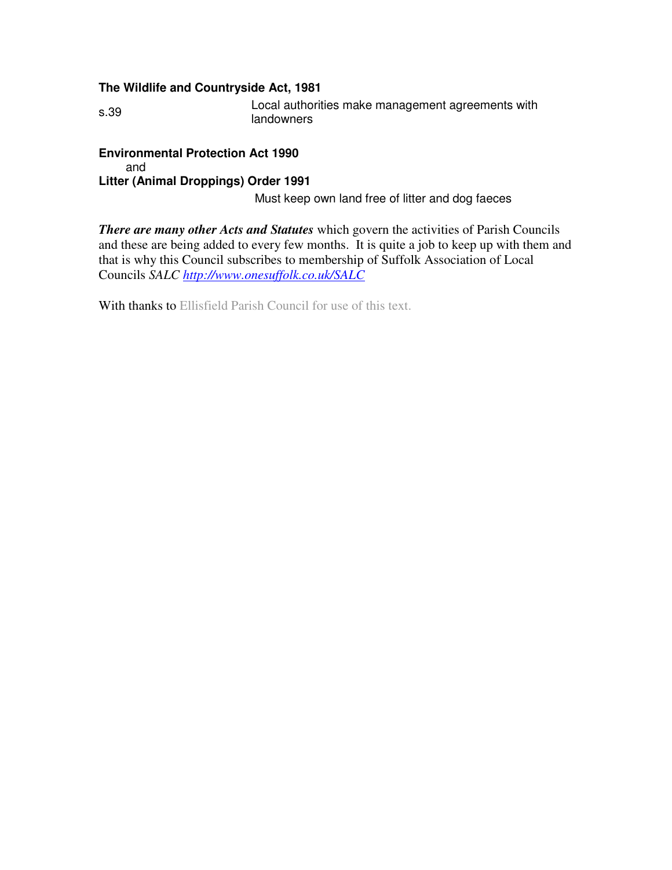#### **The Wildlife and Countryside Act, 1981**

s.39 Local authorities make management agreements with landowners

**Environmental Protection Act 1990**  and **Litter (Animal Droppings) Order 1991**

Must keep own land free of litter and dog faeces

*There are many other Acts and Statutes* which govern the activities of Parish Councils and these are being added to every few months. It is quite a job to keep up with them and that is why this Council subscribes to membership of Suffolk Association of Local Councils *SALC http://www.onesuffolk.co.uk/SALC*

With thanks to Ellisfield Parish Council for use of this text.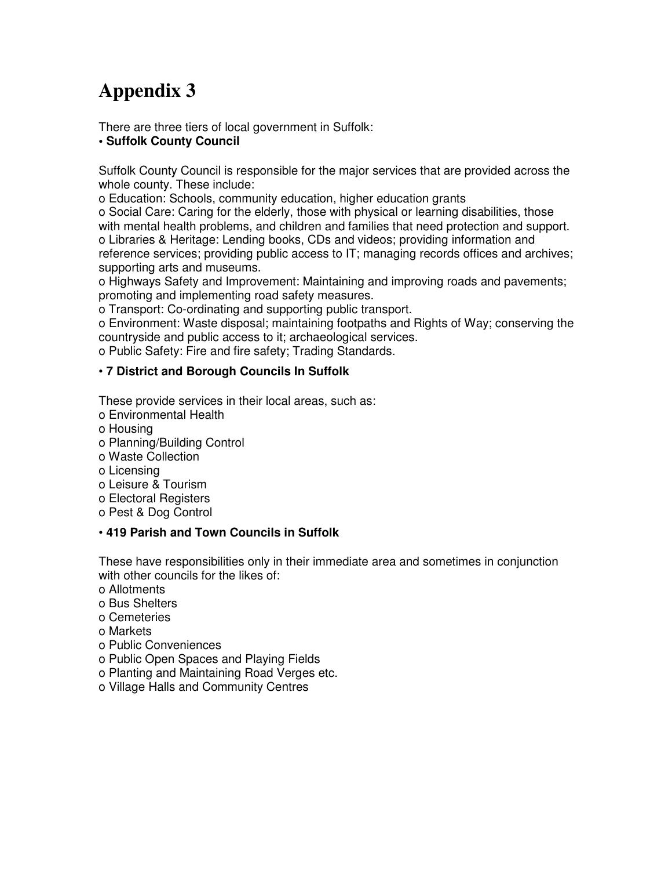There are three tiers of local government in Suffolk:

#### **• Suffolk County Council**

Suffolk County Council is responsible for the major services that are provided across the whole county. These include:

o Education: Schools, community education, higher education grants

o Social Care: Caring for the elderly, those with physical or learning disabilities, those with mental health problems, and children and families that need protection and support. o Libraries & Heritage: Lending books, CDs and videos; providing information and reference services; providing public access to IT; managing records offices and archives; supporting arts and museums.

o Highways Safety and Improvement: Maintaining and improving roads and pavements; promoting and implementing road safety measures.

o Transport: Co-ordinating and supporting public transport.

o Environment: Waste disposal; maintaining footpaths and Rights of Way; conserving the countryside and public access to it; archaeological services.

o Public Safety: Fire and fire safety; Trading Standards.

#### • **7 District and Borough Councils In Suffolk**

These provide services in their local areas, such as:

- o Environmental Health
- o Housing
- o Planning/Building Control
- o Waste Collection
- o Licensing
- o Leisure & Tourism
- o Electoral Registers
- o Pest & Dog Control

#### • **419 Parish and Town Councils in Suffolk**

These have responsibilities only in their immediate area and sometimes in conjunction with other councils for the likes of:

- o Allotments
- o Bus Shelters
- o Cemeteries
- o Markets
- o Public Conveniences
- o Public Open Spaces and Playing Fields
- o Planting and Maintaining Road Verges etc.
- o Village Halls and Community Centres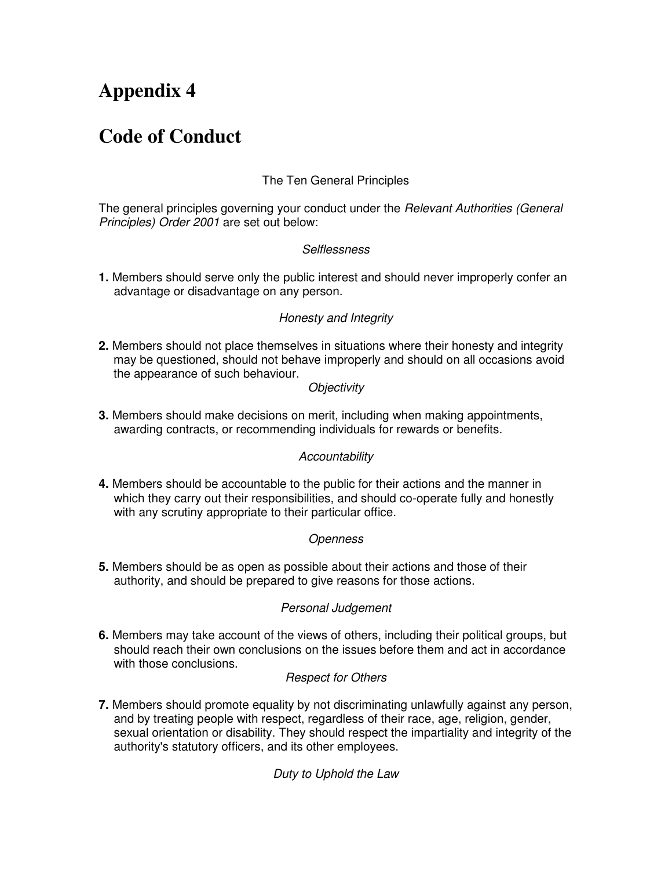## **Code of Conduct**

### The Ten General Principles

The general principles governing your conduct under the *Relevant Authorities (General*) Principles) Order 2001 are set out below:

#### **Selflessness**

**1.** Members should serve only the public interest and should never improperly confer an advantage or disadvantage on any person.

#### Honesty and Integrity

**2.** Members should not place themselves in situations where their honesty and integrity may be questioned, should not behave improperly and should on all occasions avoid the appearance of such behaviour.

#### **Objectivity**

**3.** Members should make decisions on merit, including when making appointments, awarding contracts, or recommending individuals for rewards or benefits.

#### **Accountability**

**4.** Members should be accountable to the public for their actions and the manner in which they carry out their responsibilities, and should co-operate fully and honestly with any scrutiny appropriate to their particular office.

#### **Openness**

**5.** Members should be as open as possible about their actions and those of their authority, and should be prepared to give reasons for those actions.

#### Personal Judgement

**6.** Members may take account of the views of others, including their political groups, but should reach their own conclusions on the issues before them and act in accordance with those conclusions.

#### Respect for Others

**7.** Members should promote equality by not discriminating unlawfully against any person, and by treating people with respect, regardless of their race, age, religion, gender, sexual orientation or disability. They should respect the impartiality and integrity of the authority's statutory officers, and its other employees.

#### Duty to Uphold the Law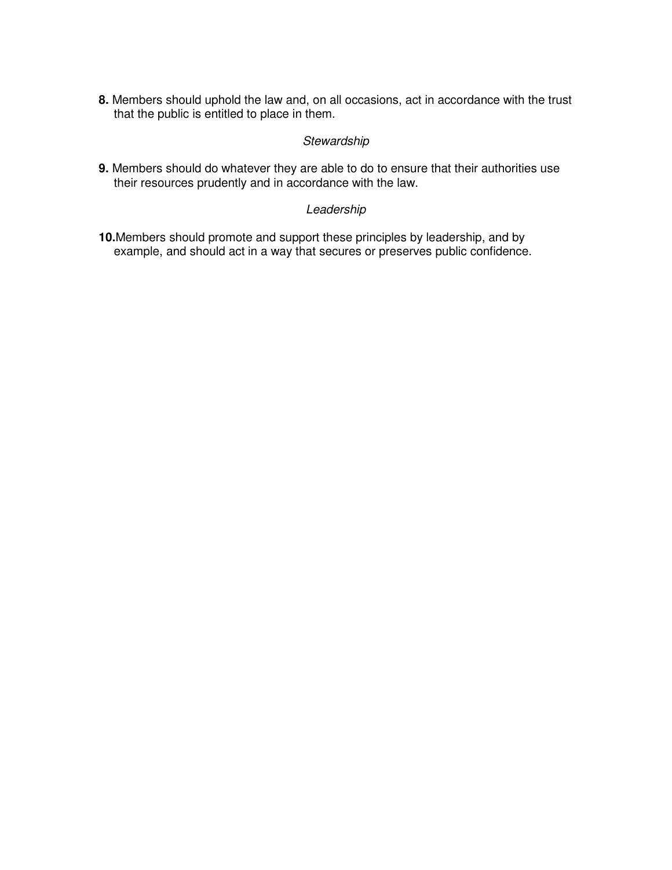**8.** Members should uphold the law and, on all occasions, act in accordance with the trust that the public is entitled to place in them.

#### **Stewardship**

**9.** Members should do whatever they are able to do to ensure that their authorities use their resources prudently and in accordance with the law.

#### Leadership

**10.**Members should promote and support these principles by leadership, and by example, and should act in a way that secures or preserves public confidence.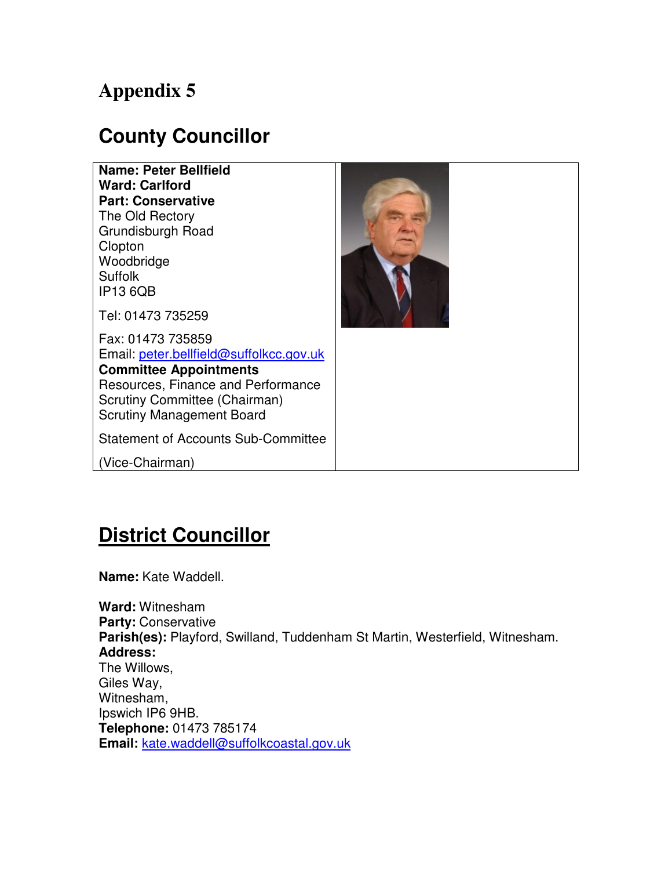## **County Councillor**

**Name: Peter Bellfield Ward: Carlford Part: Conservative** The Old Rectory Grundisburgh Road **Clopton** Woodbridge Suffolk IP13 6QB



Tel: 01473 735259

Fax: 01473 735859 Email: peter.bellfield@suffolkcc.gov.uk **Committee Appointments** Resources, Finance and Performance Scrutiny Committee (Chairman) Scrutiny Management Board

Statement of Accounts Sub-Committee

(Vice-Chairman)

# **District Councillor**

**Name:** Kate Waddell.

**Ward:** Witnesham **Party:** Conservative **Parish(es):** Playford, Swilland, Tuddenham St Martin, Westerfield, Witnesham. **Address:** The Willows, Giles Way, Witnesham, Ipswich IP6 9HB. **Telephone:** 01473 785174 **Email:** kate.waddell@suffolkcoastal.gov.uk